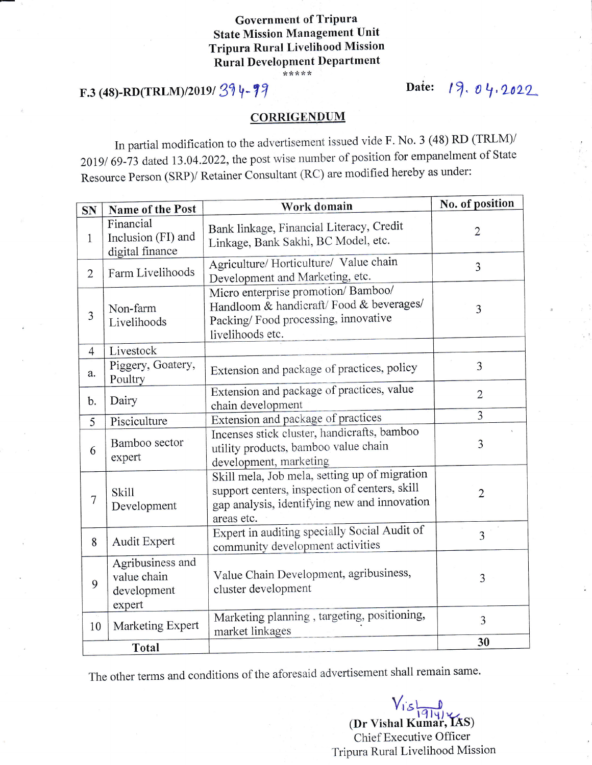## **Government of Tripura State Mission Management Unit Tripura Rural Livelihood Mission Rural Development Department** \*\*\*\*\*

## F.3 (48)-RD(TRLM)/2019/  $394 - 97$

Date: 19. 04.2022

## **CORRIGENDUM**

In partial modification to the advertisement issued vide F. No. 3 (48) RD (TRLM)/ 2019/69-73 dated 13.04.2022, the post wise number of position for empanelment of State Resource Person (SRP)/ Retainer Consultant (RC) are modified hereby as under:

| <b>SN</b>      | Name of the Post                                         | Work domain                                                                                                                                                  | No. of position |
|----------------|----------------------------------------------------------|--------------------------------------------------------------------------------------------------------------------------------------------------------------|-----------------|
| $\mathbf{1}$   | Financial<br>Inclusion (FI) and<br>digital finance       | Bank linkage, Financial Literacy, Credit<br>Linkage, Bank Sakhi, BC Model, etc.                                                                              | $\overline{2}$  |
| $\overline{2}$ | Farm Livelihoods                                         | Agriculture/ Horticulture/ Value chain<br>Development and Marketing, etc.                                                                                    | 3               |
| 3              | Non-farm<br>Livelihoods                                  | Micro enterprise promotion/ Bamboo/<br>Handloom & handicraft/Food & beverages/<br>Packing/Food processing, innovative<br>livelihoods etc.                    | 3               |
| $\overline{4}$ | Livestock                                                |                                                                                                                                                              |                 |
| a.             | Piggery, Goatery,<br>Poultry                             | Extension and package of practices, policy                                                                                                                   | 3               |
| b.             | Dairy                                                    | Extension and package of practices, value<br>chain development                                                                                               | $\overline{2}$  |
| 5              | Pisciculture                                             | Extension and package of practices                                                                                                                           | $\overline{3}$  |
| 6              | Bamboo sector<br>expert                                  | Incenses stick cluster, handicrafts, bamboo<br>utility products, bamboo value chain<br>development, marketing                                                | 3               |
| 7              | Skill<br>Development                                     | Skill mela, Job mela, setting up of migration<br>support centers, inspection of centers, skill<br>gap analysis, identifying new and innovation<br>areas etc. | $\overline{2}$  |
| 8              | <b>Audit Expert</b>                                      | Expert in auditing specially Social Audit of<br>community development activities                                                                             | 3               |
| 9              | Agribusiness and<br>value chain<br>development<br>expert | Value Chain Development, agribusiness,<br>cluster development                                                                                                | $\overline{3}$  |
| 10             | Marketing Expert                                         | Marketing planning, targeting, positioning,<br>market linkages                                                                                               | 3               |
|                | Total                                                    |                                                                                                                                                              | 30              |

The other terms and conditions of the aforesaid advertisement shall remain same.

 $V_{15}$ <br>(Dr Vishal Kumar, IAS) Chief Executive Officer Tripura Rural Livelihood Mission